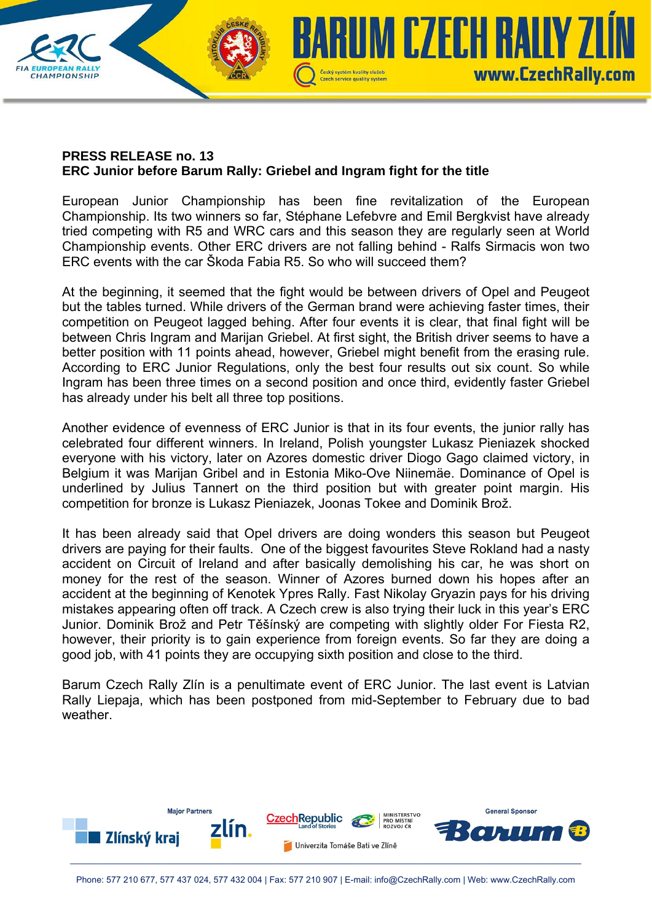

**CHAMPIONSHIP** 

European Junior Championship has been fine revitalization of the European Championship. Its two winners so far, Stéphane Lefebvre and Emil Bergkvist have already tried competing with R5 and WRC cars and this season they are regularly seen at World Championship events. Other ERC drivers are not falling behind - Ralfs Sirmacis won two ERC events with the car Škoda Fabia R5. So who will succeed them?

Czech service quality system

**IUM CZECH RAILY ZI** 

www.CzechRally.com

At the beginning, it seemed that the fight would be between drivers of Opel and Peugeot but the tables turned. While drivers of the German brand were achieving faster times, their competition on Peugeot lagged behing. After four events it is clear, that final fight will be between Chris Ingram and Marijan Griebel. At first sight, the British driver seems to have a better position with 11 points ahead, however, Griebel might benefit from the erasing rule. According to ERC Junior Regulations, only the best four results out six count. So while Ingram has been three times on a second position and once third, evidently faster Griebel has already under his belt all three top positions.

Another evidence of evenness of ERC Junior is that in its four events, the junior rally has celebrated four different winners. In Ireland, Polish youngster Lukasz Pieniazek shocked everyone with his victory, later on Azores domestic driver Diogo Gago claimed victory, in Belgium it was Marijan Gribel and in Estonia Miko-Ove Niinemäe. Dominance of Opel is underlined by Julius Tannert on the third position but with greater point margin. His competition for bronze is Lukasz Pieniazek, Joonas Tokee and Dominik Brož.

It has been already said that Opel drivers are doing wonders this season but Peugeot drivers are paying for their faults. One of the biggest favourites Steve Rokland had a nasty accident on Circuit of Ireland and after basically demolishing his car, he was short on money for the rest of the season. Winner of Azores burned down his hopes after an accident at the beginning of Kenotek Ypres Rally. Fast Nikolay Gryazin pays for his driving mistakes appearing often off track. A Czech crew is also trying their luck in this year's ERC Junior. Dominik Brož and Petr Těšínský are competing with slightly older For Fiesta R2, however, their priority is to gain experience from foreign events. So far they are doing a good job, with 41 points they are occupying sixth position and close to the third.

Barum Czech Rally Zlín is a penultimate event of ERC Junior. The last event is Latvian Rally Liepaja, which has been postponed from mid-September to February due to bad weather.